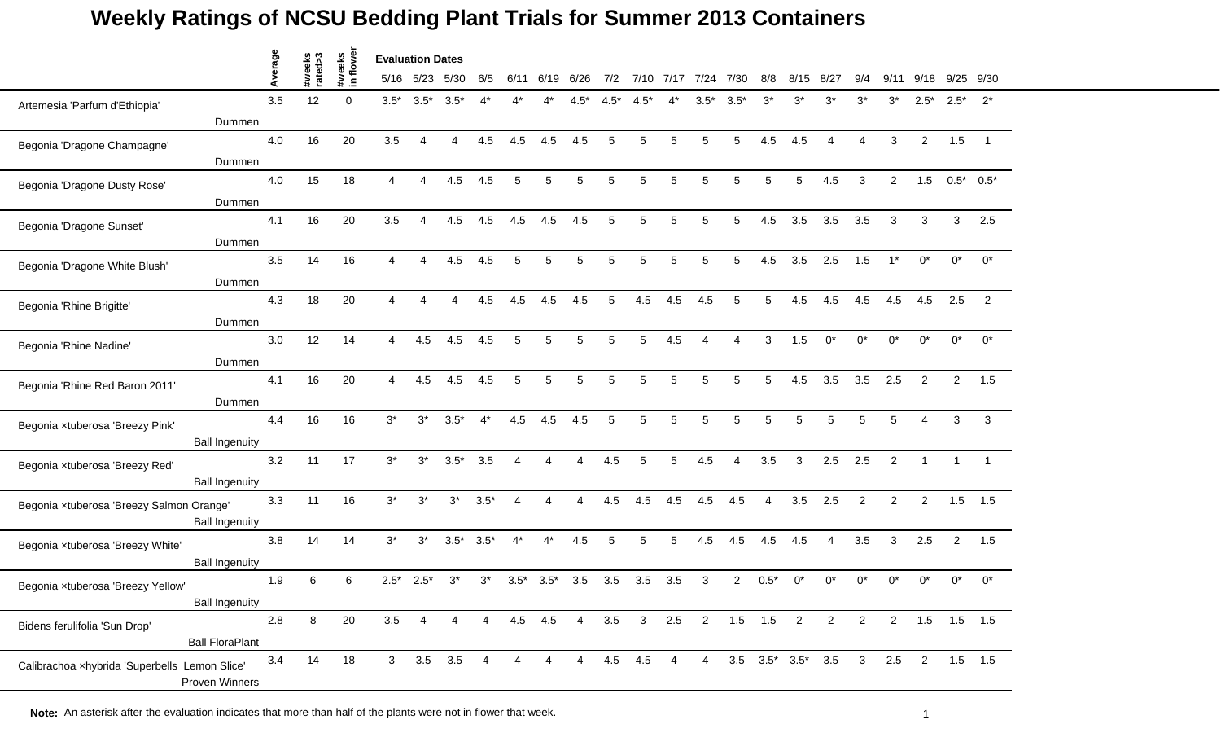|                                               |                        | Average |                   | #weeks<br>in flower | <b>Evaluation Dates</b> |                        |                |                |                        |                |                |        |                |                |                        |                |        |                          |                               |                |                |                  |              |                          |
|-----------------------------------------------|------------------------|---------|-------------------|---------------------|-------------------------|------------------------|----------------|----------------|------------------------|----------------|----------------|--------|----------------|----------------|------------------------|----------------|--------|--------------------------|-------------------------------|----------------|----------------|------------------|--------------|--------------------------|
|                                               |                        |         | #weeks<br>rated>3 |                     | 5/16                    | 5/23                   | 5/30           | 6/5            | 6/11                   | 6/19           | 6/26           | 7/2    | 7/10           | 7/17           | 7/24                   | 7/30           | 8/8    | 8/15                     | 8/27                          | 9/4            | 9/11           | 9/18             |              | 9/25 9/30                |
| Artemesia 'Parfum d'Ethiopia'                 |                        | 3.5     | 12                | $\Omega$            | $3.5*$                  | $3.5*$                 | $3.5*$         |                | ⊿*                     |                | $4.5*$         | $4.5*$ | $4.5*$         | 4*             | $3.5*$                 | $3.5*$         | $3^*$  | $3^*$                    | $3^*$                         | $3^*$          | $3^*$          | $2.5*$           | $2.5*$       | $2^{*}$                  |
|                                               | Dummen                 |         |                   |                     |                         |                        |                |                |                        |                |                |        |                |                |                        |                |        |                          |                               |                |                |                  |              |                          |
| Begonia 'Dragone Champagne'                   |                        | 4.0     | 16                | 20                  | 3.5                     | $\boldsymbol{\Lambda}$ | 4              | 4.5            | 4.5                    | 4.5            | 4.5            | 5      | 5              | 5              | 5                      | 5              | 4.5    | 4.5                      | 4                             | $\overline{4}$ | 3              | $\overline{2}$   | 1.5          | $\overline{\phantom{1}}$ |
|                                               | Dummen                 |         |                   |                     |                         |                        |                |                |                        |                |                |        |                |                |                        |                |        |                          |                               |                |                |                  |              |                          |
| Begonia 'Dragone Dusty Rose'                  |                        | 4.0     | 15                | 18                  | 4                       | $\overline{4}$         | 4.5            | 4.5            | 5                      | 5              | 5              | 5      | 5              | 5              | 5                      | 5              | 5      | 5                        | 4.5                           | 3              | $\overline{2}$ | 1.5              | $0.5^*$ 0.5* |                          |
|                                               | Dummen                 |         |                   |                     |                         |                        |                |                |                        |                |                |        |                |                |                        |                |        |                          |                               |                |                |                  |              |                          |
| Begonia 'Dragone Sunset'                      |                        | 4.1     | 16                | 20                  | 3.5                     | $\boldsymbol{\Lambda}$ | 4.5            | 4.5            | 4.5                    | 4.5            | 4.5            | 5      | 5              | 5              | 5                      | 5              | 4.5    | 3.5                      | 3.5                           | 3.5            | 3              | 3                | 3            | 2.5                      |
|                                               | Dummen                 |         |                   |                     |                         |                        |                |                |                        |                |                |        |                |                |                        |                |        |                          |                               |                |                |                  |              |                          |
| Begonia 'Dragone White Blush'                 |                        | 3.5     | 14                | 16                  |                         | Δ                      | 4.5            | 4.5            | 5                      | 5              | 5              | 5      | 5              | 5              | 5                      | 5              | 4.5    | 3.5                      | 2.5                           | 1.5            | $1*$           | $0^*$            | $0^*$        | $0^*$                    |
|                                               | Dummen                 |         |                   |                     |                         |                        |                |                |                        |                |                |        |                |                |                        |                |        |                          |                               |                |                |                  |              |                          |
| Begonia 'Rhine Brigitte'                      | Dummen                 | 4.3     | 18                | 20                  | 4                       | Δ                      | 4              | 4.5            | 4.5                    | 4.5            | 4.5            | 5      | 4.5            | 4.5            | 4.5                    | 5              | 5      | 4.5                      | 4.5                           | 4.5            | 4.5            | 4.5              | 2.5          | 2                        |
|                                               |                        | 3.0     | 12                | 14                  | $\overline{4}$          | 4.5                    | 4.5            | 4.5            | 5                      | 5              | 5              | 5      | 5              | 4.5            | $\boldsymbol{\Lambda}$ | 4              | 3      | 1.5                      | $0^*$                         | $0^*$          | $0^*$          | $0^*$            | $0^*$        | $0^*$                    |
| Begonia 'Rhine Nadine'                        |                        |         |                   |                     |                         |                        |                |                |                        |                |                |        |                |                |                        |                |        |                          |                               |                |                |                  |              |                          |
|                                               | Dummen                 |         | 16                | 20                  | $\overline{4}$          |                        |                |                |                        |                | 5              |        | 5              |                |                        |                |        |                          |                               |                |                |                  |              |                          |
| Begonia 'Rhine Red Baron 2011'                | Dummen                 | 4.1     |                   |                     |                         | 4.5                    | 4.5            | 4.5            | 5                      | 5              |                | 5      |                | 5              | 5                      | 5              | 5      | 4.5                      | 3.5                           | 3.5            | 2.5            | 2                | 2            | 1.5                      |
|                                               |                        |         |                   |                     | $3^*$                   |                        |                | $4^*$          |                        |                |                | 5      | 5              |                | 5                      | 5              | 5      | 5                        |                               | 5              | 5              |                  | 3            |                          |
| Begonia xtuberosa 'Breezy Pink'               |                        | 4.4     | 16                | 16                  |                         | $3^*$                  | $3.5*$         |                | 4.5                    | 4.5            | 4.5            |        |                |                |                        |                |        |                          |                               |                |                |                  |              | 3                        |
|                                               | <b>Ball Ingenuity</b>  |         |                   |                     |                         |                        |                |                |                        |                |                |        |                |                |                        |                |        |                          |                               |                |                |                  |              |                          |
| Begonia xtuberosa 'Breezy Red'                | <b>Ball Ingenuity</b>  | 3.2     | 11                | 17                  | $3^*$                   | $3^*$                  | $3.5*$         | 3.5            | $\boldsymbol{\Lambda}$ | 4              | 4              | 4.5    | 5              | 5              | 4.5                    | $\overline{4}$ | 3.5    | 3                        | 2.5                           | 2.5            | $\overline{2}$ | $\overline{1}$   | $\mathbf{1}$ |                          |
|                                               |                        | 3.3     | 11                | 16                  | $3^*$                   | $3^*$                  | $3^*$          | $3.5*$         | $\boldsymbol{\Lambda}$ | $\Delta$       | $\overline{A}$ | 4.5    | 4.5            | 4.5            | 4.5                    | 4.5            | 4      | 3.5                      | 2.5                           | 2              | $\overline{2}$ | $\overline{2}$   | 1.5          | 1.5                      |
| Begonia xtuberosa 'Breezy Salmon Orange'      | <b>Ball Ingenuity</b>  |         |                   |                     |                         |                        |                |                |                        |                |                |        |                |                |                        |                |        |                          |                               |                |                |                  |              |                          |
| Begonia xtuberosa 'Breezy White'              |                        | 3.8     | 14                | 14                  | $3^*$                   | $3^*$                  | $3.5*$         | $3.5*$         | $4^*$                  | $4^*$          | 4.5            | 5      | 5              | 5              | 4.5                    | 4.5            | 4.5    | 4.5                      | 4                             | 3.5            | 3              | 2.5              | 2            | 1.5                      |
|                                               | <b>Ball Ingenuity</b>  |         |                   |                     |                         |                        |                |                |                        |                |                |        |                |                |                        |                |        |                          |                               |                |                |                  |              |                          |
| Begonia xtuberosa 'Breezy Yellow'             |                        | 1.9     | 6                 | 6                   | $2.5*$                  | $2.5^*$                | $3^*$          | $3^*$          | $3.5*$                 | $3.5*$         | 3.5            | 3.5    | 3.5            | 3.5            | 3                      | $\overline{2}$ | $0.5*$ | n*                       | n*                            | ሰ*             |                | ሰ*               | $0^*$        | $0^*$                    |
|                                               | <b>Ball Ingenuity</b>  |         |                   |                     |                         |                        |                |                |                        |                |                |        |                |                |                        |                |        |                          |                               |                |                |                  |              |                          |
| Bidens ferulifolia 'Sun Drop'                 |                        | $2.8\,$ | 8                 | 20                  | 3.5                     | $\overline{4}$         | 4              | 4              |                        | 4.5 4.5        | $\overline{4}$ | 3.5    | 3 <sup>7</sup> | 2.5            | $\overline{2}$         | $1.5$ 1.5      |        | $\overline{\phantom{a}}$ | 2 <sup>1</sup>                | $\overline{2}$ |                | 2  1.5  1.5  1.5 |              |                          |
|                                               | <b>Ball FloraPlant</b> |         |                   |                     |                         |                        |                |                |                        |                |                |        |                |                |                        |                |        |                          |                               |                |                |                  |              |                          |
| Calibrachoa xhybrida 'Superbells Lemon Slice' | Proven Winners         | 3.4     | 14                | 18                  | 3 <sup>7</sup>          |                        | $3.5\quad 3.5$ | $\overline{4}$ | $\overline{4}$         | $\overline{4}$ | $\overline{4}$ | 4.5    | 4.5            | $\overline{4}$ | $\overline{4}$         |                |        |                          | $3.5$ $3.5^*$ $3.5^*$ $3.5$ 3 |                | 2.5            | $\overline{2}$   | $1.5$ 1.5    |                          |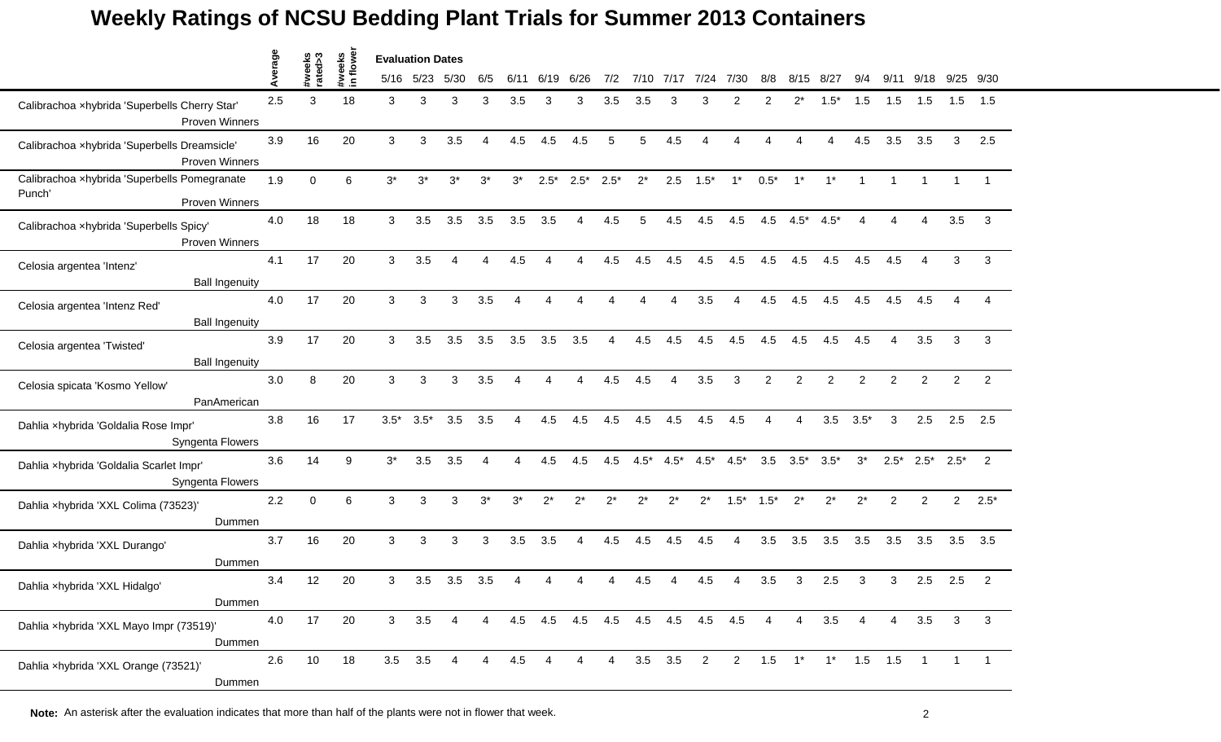|                                                                          | Average |                   |                     | <b>Evaluation Dates</b> |             |       |       |                        |          |                                 |                |          |                |                         |                        |                |                 |                     |                        |                |                |                |                |
|--------------------------------------------------------------------------|---------|-------------------|---------------------|-------------------------|-------------|-------|-------|------------------------|----------|---------------------------------|----------------|----------|----------------|-------------------------|------------------------|----------------|-----------------|---------------------|------------------------|----------------|----------------|----------------|----------------|
|                                                                          |         | #weeks<br>rated>3 | #weeks<br>in flower |                         | 5/16 5/23   | 5/30  | 6/5   | 6/11                   | 6/19     | 6/26                            | 7/2            | 7/10     | 7/17           | 7/24                    | 7/30                   | 8/8            | 8/15            | 8/27                | 9/4                    | 9/11           | 9/18           | 9/25           | 9/30           |
| Calibrachoa xhybrida 'Superbells Cherry Star'<br><b>Proven Winners</b>   | 2.5     | 3                 | 18                  | 3                       | 3           | 3     | 3     | 3.5                    | 3        | 3                               | 3.5            | 3.5      | 3              | 3                       | $\overline{2}$         | 2              | $2^*$           | $1.5*$              | 1.5                    | 1.5            | 1.5            | 1.5            | 1.5            |
| Calibrachoa xhybrida 'Superbells Dreamsicle'<br>Proven Winners           | 3.9     | 16                | 20                  | 3                       | 3           | 3.5   | 4     | 4.5                    | 4.5      | 4.5                             | $\sqrt{5}$     | 5        | 4.5            | $\overline{4}$          | 4                      | 4              | $\overline{4}$  | 4                   | 4.5                    | 3.5            | 3.5            | $\mathbf{3}$   | 2.5            |
| Calibrachoa xhybrida 'Superbells Pomegranate<br>Punch'<br>Proven Winners | 1.9     | $\Omega$          | 6                   | $3^*$                   | $3^*$       | $3^*$ | $3^*$ | $3^*$                  | $2.5*$   | $2.5*$                          | $2.5*$         | $2^*$    | 2.5            | $1.5*$                  | $1^*$                  | $0.5*$         | $1^*$           | $1^*$               | $\overline{1}$         |                |                |                |                |
| Calibrachoa xhybrida 'Superbells Spicy'<br>Proven Winners                | 4.0     | 18                | 18                  | 3                       | 3.5         | 3.5   | 3.5   | 3.5                    | 3.5      | 4                               | 4.5            | 5        | 4.5            | 4.5                     | 4.5                    | 4.5            | $4.5^*$ $4.5^*$ |                     | $\boldsymbol{\Lambda}$ | 4              | 4              | 3.5            | $\mathbf{3}$   |
| Celosia argentea 'Intenz'<br><b>Ball Ingenuity</b>                       | 4.1     | 17                | 20                  | 3                       | 3.5         | Δ     |       | 4.5                    |          |                                 | 4.5            | 4.5      | 4.5            | 4.5                     | 4.5                    | 4.5            | 4.5             | 4.5                 | 4.5                    | 4.5            |                | 3              | 3              |
| Celosia argentea 'Intenz Red'<br><b>Ball Ingenuity</b>                   | 4.0     | 17                | 20                  | 3                       | 3           | 3     | 3.5   | 4                      | 4        | 4                               | $\Delta$       | $\Delta$ | 4              | 3.5                     | $\boldsymbol{\Lambda}$ | 4.5            | 4.5             | 4.5                 | 4.5                    | 4.5            | 4.5            | $\overline{4}$ | $\overline{4}$ |
| Celosia argentea 'Twisted'<br><b>Ball Ingenuity</b>                      | 3.9     | 17                | 20                  | 3                       | 3.5         | 3.5   | 3.5   | 3.5                    | 3.5      | 3.5                             | $\overline{4}$ | 4.5      | 4.5            | 4.5                     | 4.5                    | 4.5            | 4.5             | 4.5                 | 4.5                    | $\overline{4}$ | 3.5            | 3              | 3              |
| Celosia spicata 'Kosmo Yellow'<br>PanAmerican                            | 3.0     | 8                 | 20                  | 3                       | 3           | 3     | 3.5   | $\boldsymbol{\Lambda}$ | $\Delta$ | 4                               | 4.5            | 4.5      | 4              | 3.5                     | 3                      | 2              | $\overline{2}$  | $\overline{2}$      | $\overline{2}$         | $\overline{c}$ | $\overline{2}$ | $\overline{2}$ | $\overline{2}$ |
| Dahlia xhybrida 'Goldalia Rose Impr'<br>Syngenta Flowers                 | 3.8     | 16                | 17                  | $3.5*$                  | $3.5*$      | 3.5   | 3.5   |                        | 4.5      | 4.5                             | 4.5            | 4.5      | 4.5            | 4.5                     | 4.5                    |                | Δ               | 3.5                 | $3.5*$                 | 3              | 2.5            | 2.5            | 2.5            |
| Dahlia xhybrida 'Goldalia Scarlet Impr'<br>Syngenta Flowers              | 3.6     | 14                | 9                   | $3^*$                   | 3.5         | 3.5   | 4     | 4                      | 4.5      | 4.5                             | 4.5            | $4.5*$   | $4.5*$         | $4.5*$                  | $4.5*$                 | 3.5            | $3.5*$          | $3.5*$              | $3^*$                  | $2.5*$         | $2.5*$         | $2.5^*$ 2      |                |
| Dahlia xhybrida 'XXL Colima (73523)'<br>Dummen                           | 2.2     | $\Omega$          | 6                   | 3                       | 3           | 3     | $3^*$ | $3^*$                  | $2^*$    | $2^*$                           | $2^*$          | $2^*$    | $2^*$          | $2^*$                   | $1.5*$                 | $1.5*$         | $2^*$           | $2^*$               | $2^*$                  | $\overline{2}$ | 2              | $2^{\circ}$    | $2.5*$         |
| Dahlia xhybrida 'XXL Durango'<br>Dummen                                  | 3.7     | 16                | 20                  | 3                       | 3           | 3     | 3     | 3.5                    | 3.5      | 4                               | 4.5            | 4.5      | 4.5            | 4.5                     | 4                      | 3.5            | 3.5             | 3.5                 | 3.5                    | 3.5            | 3.5            | 3.5            | 3.5            |
| Dahlia xhybrida 'XXL Hidalgo'<br>Dummen                                  | 3.4     | 12                | 20                  | 3                       | 3.5         | 3.5   | 3.5   |                        |          |                                 |                | 4.5      |                | 4.5                     |                        | 3.5            | 3               | 2.5                 | 3                      | 3              | 2.5            | 2.5            | 2              |
| Dahlia xhybrida 'XXL Mayo Impr (73519)'<br>Dummen                        | 4.0     | 17                | 20                  | 3 <sup>1</sup>          | $3.5\,$     | 4     | 4     |                        |          | 4.5 4.5 4.5 4.5 4.5 4.5 4.5 4.5 |                |          |                |                         |                        | $\overline{4}$ | $\overline{4}$  | 3.5                 | 4                      | 4              | 3.5            | $\mathbf{3}$   | 3              |
| Dahlia xhybrida 'XXL Orange (73521)'<br>Dummen                           | 2.6     | 10                | 18                  |                         | $3.5$ $3.5$ | 4     | 4     | 4.5                    | 4        |                                 | $\overline{4}$ |          | $3.5\quad 3.5$ | $\overline{\mathbf{2}}$ |                        | $2 \qquad 1.5$ |                 | $1^*$ $1^*$ 1.5 1.5 |                        |                | $\overline{1}$ | $\overline{1}$ |                |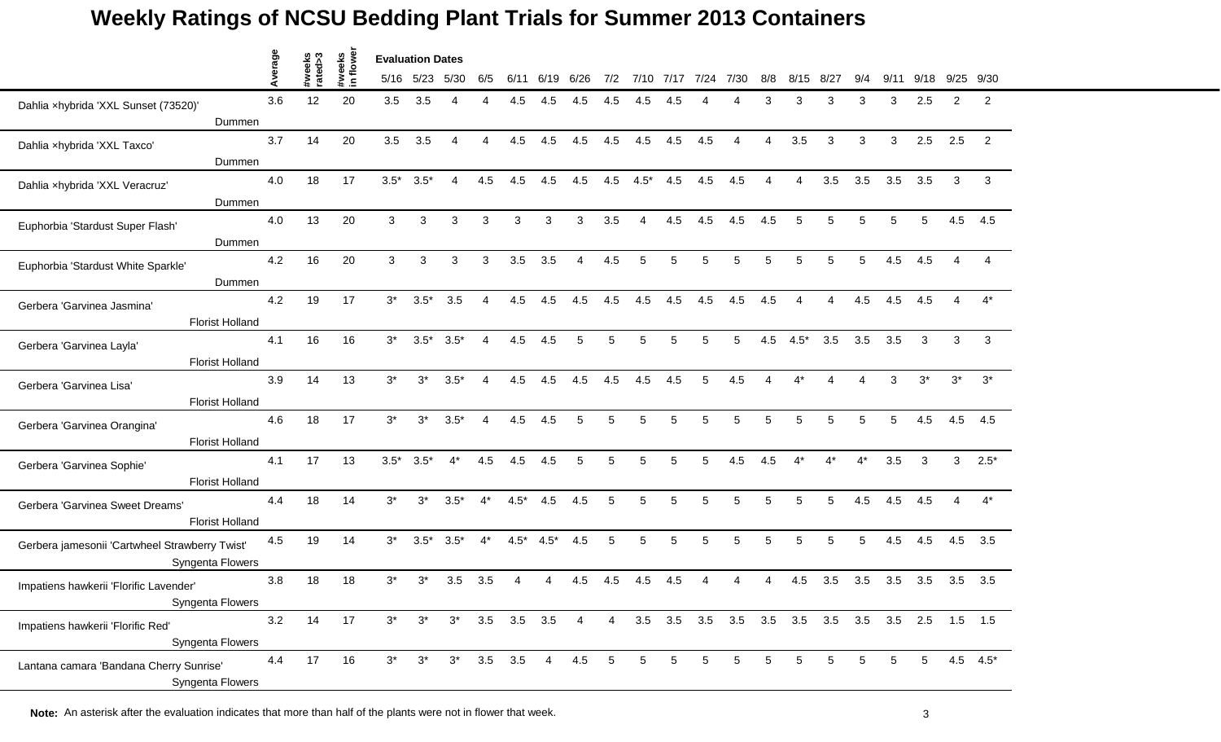|                                                                    | age  |                   |                    | <b>Evaluation Dates</b> |           |        |       |                  |                |                |                 |                |      |      |                                                 |     |                |                |       |      |            |                |                |
|--------------------------------------------------------------------|------|-------------------|--------------------|-------------------------|-----------|--------|-------|------------------|----------------|----------------|-----------------|----------------|------|------|-------------------------------------------------|-----|----------------|----------------|-------|------|------------|----------------|----------------|
|                                                                    | Aver | #weeks<br>rated>3 | #weeks<br>in flowe |                         | 5/16 5/23 | 5/30   | 6/5   | 6/11             | 6/19           | 6/26           | 7/2             | 7/10           | 7/17 | 7/24 | 7/30                                            | 8/8 | 8/15           | 8/27           | 9/4   | 9/11 | 9/18       | 9/25           | 9/30           |
| Dahlia xhybrida 'XXL Sunset (73520)'                               | 3.6  | 12                | 20                 | 3.5                     | 3.5       | 4      |       | 4.5              | 4.5            | 4.5            | 4.5             | 4.5            | 4.5  |      |                                                 | 3   | 3              | 3              | 3     | 3    | 2.5        | 2              | $\overline{2}$ |
| Dummen                                                             |      |                   |                    |                         |           |        |       |                  |                |                |                 |                |      |      |                                                 |     |                |                |       |      |            |                |                |
| Dahlia xhybrida 'XXL Taxco'                                        | 3.7  | 14                | 20                 | 3.5                     | 3.5       | 4      | 4     | 4.5              | 4.5            | 4.5            | 4.5             | 4.5            | 4.5  | 4.5  | 4                                               | 4   | 3.5            | 3              | 3     | 3    | 2.5        | 2.5            | 2              |
| Dummen                                                             |      |                   |                    |                         |           |        |       |                  |                |                |                 |                |      |      |                                                 |     |                |                |       |      |            |                |                |
| Dahlia xhybrida 'XXL Veracruz'                                     | 4.0  | 18                | 17                 | $3.5*$                  | $3.5*$    | 4      | 4.5   | 4.5              | 4.5            | 4.5            | 4.5             | $4.5*$         | 4.5  | 4.5  | 4.5                                             |     | 4              | 3.5            | 3.5   | 3.5  | 3.5        | 3              | 3              |
| Dummen                                                             |      |                   |                    |                         |           |        |       |                  |                |                |                 |                |      |      |                                                 |     |                |                |       |      |            |                |                |
| Euphorbia 'Stardust Super Flash'                                   | 4.0  | 13                | 20                 | 3                       | 3         | 3      | 3     | $\mathbf{3}$     | 3              | 3              | 3.5             | $\overline{4}$ | 4.5  | 4.5  | 4.5                                             | 4.5 | 5              | 5              | 5     | 5    | 5          | 4.5            | 4.5            |
| Dummen                                                             | 4.2  | 16                | 20                 |                         | 3         |        |       |                  | 3.5            | 4              |                 |                | 5    | 5    | 5                                               | 5   | 5              |                | 5     |      |            |                |                |
| Euphorbia 'Stardust White Sparkle'                                 |      |                   |                    | 3                       |           | 3      | 3     | 3.5              |                |                | 4.5             | 5              |      |      |                                                 |     |                |                |       | 4.5  | 4.5        |                |                |
| Dummen                                                             | 4.2  | 19                | 17                 | $3^*$                   | $3.5*$    | 3.5    | 4     | 4.5              | 4.5            | 4.5            | 4.5             | 4.5            | 4.5  | 4.5  | 4.5                                             | 4.5 | $\overline{4}$ | $\overline{4}$ | 4.5   | 4.5  | 4.5        | $\overline{4}$ | $4^*$          |
| Gerbera 'Garvinea Jasmina'<br><b>Florist Holland</b>               |      |                   |                    |                         |           |        |       |                  |                |                |                 |                |      |      |                                                 |     |                |                |       |      |            |                |                |
|                                                                    | 4.1  | 16                | 16                 | $3^*$                   | $3.5*$    | $3.5*$ | 4     | 4.5              | 4.5            | 5              | 5               | 5              | 5    | 5    | 5                                               | 4.5 | $4.5*$         | 3.5            | 3.5   | 3.5  | 3          | 3              | 3              |
| Gerbera 'Garvinea Layla'<br><b>Florist Holland</b>                 |      |                   |                    |                         |           |        |       |                  |                |                |                 |                |      |      |                                                 |     |                |                |       |      |            |                |                |
| Gerbera 'Garvinea Lisa'                                            | 3.9  | 14                | 13                 | $3^*$                   | $3^*$     | $3.5*$ | 4     | 4.5              | 4.5            | 4.5            | 4.5             | 4.5            | 4.5  | 5    | 4.5                                             |     |                |                |       | 3    | $3^{\ast}$ | $3^*$          | $3^*$          |
| <b>Florist Holland</b>                                             |      |                   |                    |                         |           |        |       |                  |                |                |                 |                |      |      |                                                 |     |                |                |       |      |            |                |                |
| Gerbera 'Garvinea Orangina'                                        | 4.6  | 18                | 17                 | $3^*$                   | $3^*$     | $3.5*$ | 4     | 4.5              | 4.5            |                | 5               | 5              | 5    | 5    | 5                                               | 5   | 5              |                | 5     | 5    | 4.5        | 4.5            | 4.5            |
| <b>Florist Holland</b>                                             |      |                   |                    |                         |           |        |       |                  |                |                |                 |                |      |      |                                                 |     |                |                |       |      |            |                |                |
| Gerbera 'Garvinea Sophie'                                          | 4.1  | 17                | 13                 | $3.5*$                  | $3.5*$    | $4^*$  | 4.5   | 4.5              | 4.5            | 5              | 5               | 5              | 5    | 5    | 4.5                                             | 4.5 | $4^*$          | $4^*$          | $4^*$ | 3.5  | 3          | 3              | $2.5*$         |
| <b>Florist Holland</b>                                             |      |                   |                    |                         |           |        |       |                  |                |                |                 |                |      |      |                                                 |     |                |                |       |      |            |                |                |
| Gerbera 'Garvinea Sweet Dreams'                                    | 4.4  | 18                | 14                 | $3^*$                   | $3^*$     | $3.5*$ | $4^*$ | $4.5*$           | 4.5            | 4.5            | 5               | 5              | 5    | 5    | 5                                               | 5   | 5              | 5              | 4.5   | 4.5  | 4.5        | 4              | $4^*$          |
| <b>Florist Holland</b>                                             |      |                   |                    |                         |           |        |       |                  |                |                |                 |                |      |      |                                                 |     |                |                |       |      |            |                |                |
| Gerbera jamesonii 'Cartwheel Strawberry Twist'<br>Syngenta Flowers | 4.5  | 19                | 14                 | $3^*$                   | $3.5*$    | $3.5*$ | $4^*$ | $4.5*$           | $4.5*$         | 4.5            | 5               | 5              | 5    | 5    | 5                                               | 5   | 5              | 5              | 5     | 4.5  | 4.5        | 4.5            | 3.5            |
| Impatiens hawkerii 'Florific Lavender'                             | 3.8  | 18                | 18                 | $3^*$                   | 3*        | 3.5    | 3.5   |                  |                | 4.5            | 4.5             | 4.5            | 4.5  |      |                                                 |     | 4.5            | 3.5            | 3.5   | 3.5  | 3.5        | 3.5            | 3.5            |
| Syngenta Flowers                                                   |      |                   |                    |                         |           |        |       |                  |                |                |                 |                |      |      |                                                 |     |                |                |       |      |            |                |                |
| Impatiens hawkerii 'Florific Red'<br>Syngenta Flowers              | 3.2  | 14                | 17                 | $3^*$                   | $3^*$     |        |       | $3*$ 3.5 3.5 3.5 |                | $\overline{4}$ | $\overline{4}$  |                |      |      | 3.5 3.5 3.5 3.5 3.5 3.5 3.5 3.5 3.5 2.5 1.5 1.5 |     |                |                |       |      |            |                |                |
|                                                                    | 4.4  | 17                | 16                 | $3^*$                   | $3^*$     | $3^*$  |       | $3.5$ $3.5$      | $\overline{4}$ | 4.5            | $5\phantom{.0}$ | 5              | 5    | 5    | 5                                               | 5   | 5              | 5              | 5     | 5    | 5          |                | $4.5$ $4.5^*$  |
| Lantana camara 'Bandana Cherry Sunrise'<br>Syngenta Flowers        |      |                   |                    |                         |           |        |       |                  |                |                |                 |                |      |      |                                                 |     |                |                |       |      |            |                |                |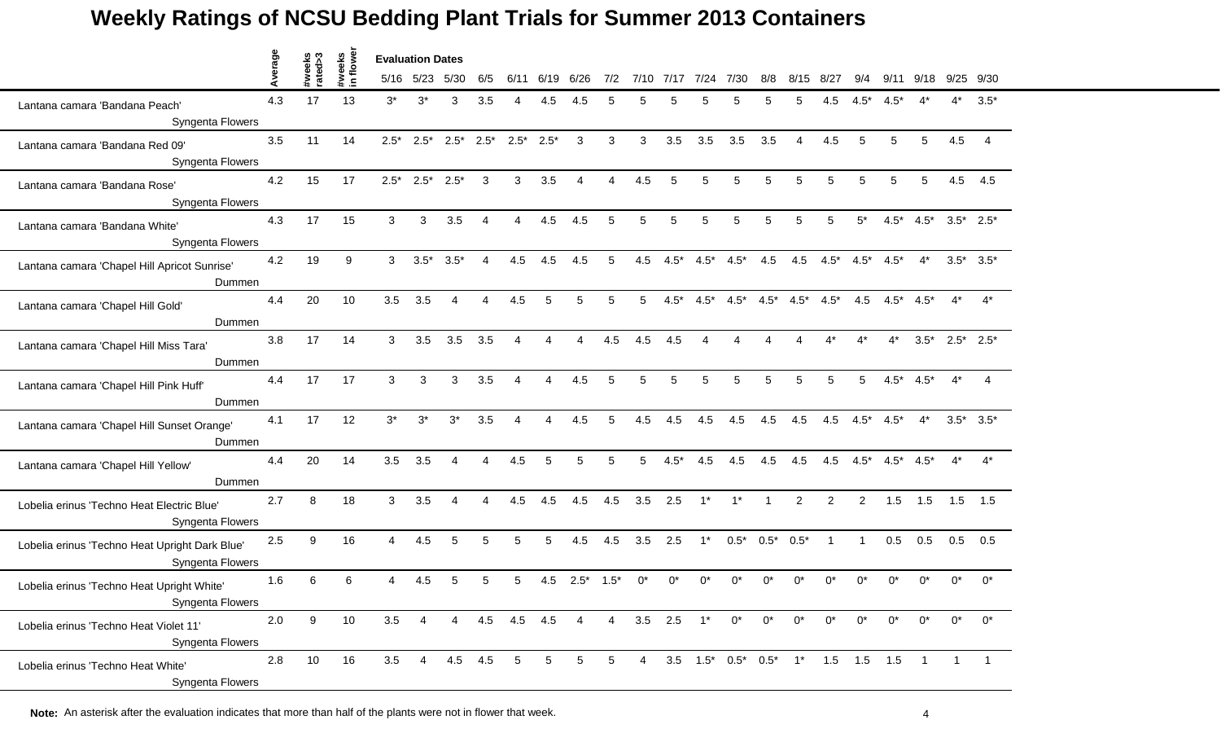|                                                                    | verage | eeks<br>ed>3 | veeks<br>flowe | <b>Evaluation Dates</b> |                |                |                |                |                        |                |                |                |        |                          |                                                 |              |                |             |                |                 |         |       |                 |
|--------------------------------------------------------------------|--------|--------------|----------------|-------------------------|----------------|----------------|----------------|----------------|------------------------|----------------|----------------|----------------|--------|--------------------------|-------------------------------------------------|--------------|----------------|-------------|----------------|-----------------|---------|-------|-----------------|
|                                                                    |        | ಕ            |                |                         | 5/16 5/23      | 5/30           | 6/5            | 6/11           | 6/19                   | 6/26           | 7/2            | 7/10           | 7/17   | 7/24                     | 7/30                                            | 8/8          | 8/15           | 8/27        | 9/4            | 9/11            | 9/18    | 9/25  | 9/30            |
| Lantana camara 'Bandana Peach'<br>Syngenta Flowers                 | 4.3    | 17           | 13             | $3^*$                   | $3^*$          | 3              | 3.5            |                | 4.5                    | 4.5            |                |                |        |                          | 5                                               |              |                | 4.5         | 4.5*           |                 |         | $4^*$ | $3.5*$          |
| Lantana camara 'Bandana Red 09'<br>Syngenta Flowers                | 3.5    | 11           | 14             | $2.5*$                  | $2.5*$         | $2.5^*$ 2.5*   |                | $2.5^*$ 2.5*   |                        | $\mathbf{3}$   | 3              | 3              | 3.5    | 3.5                      | 3.5                                             | 3.5          | $\overline{4}$ | 4.5         | 5              | 5               | 5       | 4.5   | 4               |
| Lantana camara 'Bandana Rose'<br>Syngenta Flowers                  | 4.2    | 15           | 17             | $2.5*$                  | $2.5^*$ 2.5*   |                | 3              | $\mathbf{3}$   | 3.5                    | $\mathbf 4$    | $\overline{4}$ | 4.5            | 5      | 5                        | 5                                               | 5            | 5              | 5           | 5              | 5               | 5       | 4.5   | 4.5             |
| Lantana camara 'Bandana White'<br>Syngenta Flowers                 | 4.3    | 17           | 15             | 3                       | 3              | 3.5            | $\overline{4}$ | 4              | 4.5                    | 4.5            | 5              | 5              | 5      | 5                        | 5                                               | 5            | 5              | 5           | $5^*$          | $4.5*$          | $4.5*$  |       | $3.5^*$ 2.5*    |
| Lantana camara 'Chapel Hill Apricot Sunrise'<br>Dummen             | 4.2    | 19           | 9              | 3                       | $3.5*$         | $3.5*$         |                | 4.5            | 4.5                    | 4.5            | 5              | 4.5            | $4.5*$ | $4.5*$                   | $4.5*$                                          | 4.5          | 4.5            | $4.5*$      | $4.5*$         | $4.5*$          |         |       | $3.5^*$ $3.5^*$ |
| Lantana camara 'Chapel Hill Gold'<br>Dummen                        | 4.4    | 20           | 10             | 3.5                     | 3.5            | $\overline{4}$ | 4              | 4.5            | 5                      | 5              | 5              | 5              | $4.5*$ | $4.5*$                   | $4.5*$                                          | $4.5*$       | $4.5*$         | $4.5*$      | 4.5            | $4.5^*$ $4.5^*$ |         | $4^*$ | $4^*$           |
| Lantana camara 'Chapel Hill Miss Tara'<br>Dummen                   | 3.8    | 17           | 14             | 3                       | 3.5            | 3.5            | 3.5            | 4              | $\boldsymbol{\Lambda}$ | 4              | 4.5            | 4.5            | 4.5    | $\boldsymbol{\varDelta}$ | 4                                               |              | 4              |             | $4^*$          | $4^*$           | $3.5^*$ |       | $2.5^*$ 2.5*    |
| Lantana camara 'Chapel Hill Pink Huff'<br>Dummen                   | 4.4    | 17           | 17             | 3                       | 3              | 3              | 3.5            | $\overline{4}$ | $\boldsymbol{\Lambda}$ | 4.5            | 5              | 5              | 5      | 5                        | 5                                               | 5            | 5              | 5           | 5              | $4.5^*$ $4.5^*$ |         | $4^*$ | $\overline{4}$  |
| Lantana camara 'Chapel Hill Sunset Orange'<br>Dummen               | 4.1    | 17           | 12             | $3^*$                   | $3^*$          | $3^*$          | 3.5            |                |                        | 4.5            | 5              | 4.5            | 4.5    | 4.5                      | 4.5                                             | 4.5          | 4.5            | 4.5         | $4.5*$         | $4.5*$          |         |       | $3.5^*$ $3.5^*$ |
| Lantana camara 'Chapel Hill Yellow'<br>Dummen                      | 4.4    | 20           | 14             | 3.5                     | 3.5            | $\overline{4}$ | 4              | 4.5            | 5                      | 5              | 5              | 5              | $4.5*$ | 4.5                      | 4.5                                             | 4.5          | 4.5            | 4.5         | $4.5*$         | $4.5^*$ $4.5^*$ |         | $4^*$ | $4^*$           |
| Lobelia erinus 'Techno Heat Electric Blue'<br>Syngenta Flowers     | 2.7    | 8            | 18             | 3                       | 3.5            | $\overline{A}$ | 4              | 4.5            | 4.5                    | 4.5            | 4.5            | 3.5            | 2.5    | $1^*$                    | $1^*$                                           | $\mathbf{1}$ | $\overline{2}$ | 2           | $\overline{2}$ | 1.5             | 1.5     | 1.5   | 1.5             |
| Lobelia erinus 'Techno Heat Upright Dark Blue'<br>Syngenta Flowers | 2.5    | 9            | 16             | 4                       | 4.5            | 5              | 5              | 5              | 5                      | 4.5            | 4.5            | 3.5            | 2.5    | $1^*$                    | $0.5*$                                          | $0.5^*$      | $0.5*$         | $\mathbf 1$ | $\overline{1}$ | 0.5             | 0.5     | 0.5   | 0.5             |
| Lobelia erinus 'Techno Heat Upright White'<br>Syngenta Flowers     | 1.6    | 6            | 6              | Δ                       | 4.5            |                | 5.             | 5              | 4.5                    | $2.5^*$        | $1.5*$         | 0*             |        |                          |                                                 |              |                |             |                |                 | ሰ*      | ሰ*    | $0^*$           |
| Lobelia erinus 'Techno Heat Violet 11'<br>Syngenta Flowers         | 2.0    | 9            | 10             | 3.5                     | 4              | 4              |                | 4.5 4.5 4.5    |                        | $\overline{4}$ | $\overline{4}$ | $3.5$ 2.5      |        | $1^*$                    | $0^*$                                           | $0^*$        | $0^*$          | $0^*$       | $0^*$          | $0^*$           | $0^*$   | $0^*$ | $0^*$           |
| Lobelia erinus 'Techno Heat White'<br>Syngenta Flowers             | 2.8    | 10           | 16             | 3.5                     | $\overline{4}$ | 4.5 4.5        |                | 5              | 5                      | 5              | 5              | $\overline{4}$ |        |                          | $3.5$ $1.5^*$ $0.5^*$ $0.5^*$ $1^*$ $1.5$ $1.5$ |              |                |             |                | 1.5             |         |       |                 |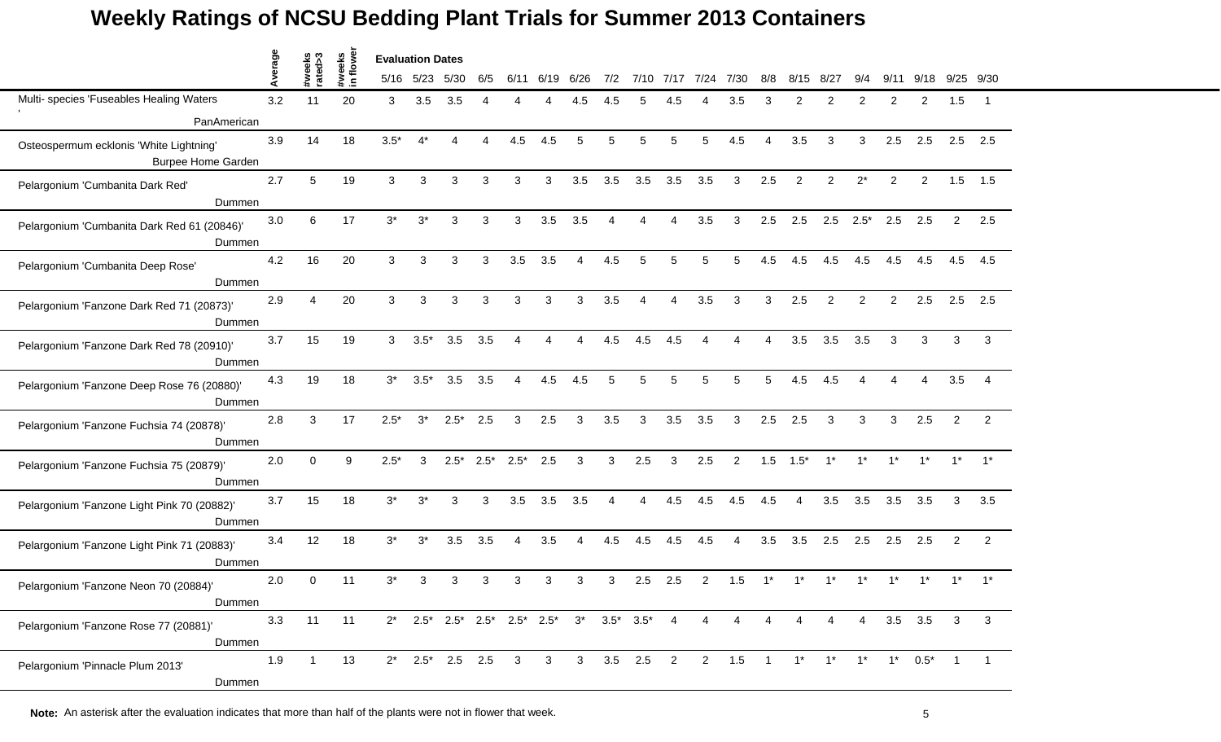|                                                                      | verage |                   |                    | <b>Evaluation Dates</b> |           |                          |        |             |                |                                                               |     |                 |      |                        |                        |                |                |                   |                |       |                          |              |                |
|----------------------------------------------------------------------|--------|-------------------|--------------------|-------------------------|-----------|--------------------------|--------|-------------|----------------|---------------------------------------------------------------|-----|-----------------|------|------------------------|------------------------|----------------|----------------|-------------------|----------------|-------|--------------------------|--------------|----------------|
|                                                                      | ⋖      | #weeks<br>rated>3 | #weeks<br>in flowe |                         | 5/16 5/23 | 5/30                     | 6/5    | 6/11        | 6/19           | 6/26                                                          | 7/2 | 7/10            | 7/17 | 7/24                   | 7/30                   | 8/8            | 8/15           | 8/27              | 9/4            | 9/11  | 9/18                     | 9/25         | 9/30           |
| Multi- species 'Fuseables Healing Waters                             | 3.2    | 11                | 20                 | 3                       | 3.5       | 3.5                      |        |             |                | 4.5                                                           | 4.5 | 5               | 4.5  |                        | 3.5                    | З              | $\mathfrak{p}$ | 2                 | 2              | 2     | $\overline{2}$           | 1.5          |                |
| PanAmerican                                                          |        |                   |                    |                         |           |                          |        |             |                |                                                               |     |                 |      |                        |                        |                |                |                   |                |       |                          |              |                |
| Osteospermum ecklonis 'White Lightning'<br><b>Burpee Home Garden</b> | 3.9    | 14                | 18                 | $3.5*$                  | $4^*$     | $\boldsymbol{\varDelta}$ | Δ      | 4.5         | 4.5            | 5                                                             | 5   | 5               | 5    | 5                      | 4.5                    | $\overline{4}$ | 3.5            | 3                 | 3              | 2.5   | 2.5                      | 2.5          | 2.5            |
| Pelargonium 'Cumbanita Dark Red'<br>Dummen                           | 2.7    | 5                 | 19                 | 3                       | 3         | 3                        | 3      | 3           | 3              | 3.5                                                           | 3.5 | 3.5             | 3.5  | 3.5                    | 3                      | 2.5            | 2              | 2                 | $2^*$          | 2     | 2                        | 1.5          | 1.5            |
| Pelargonium 'Cumbanita Dark Red 61 (20846)'<br>Dummen                | 3.0    | 6                 | 17                 | $3^*$                   | $3^*$     | 3                        | 3      | 3           | 3.5            | 3.5                                                           |     | Δ               |      | 3.5                    | 3                      | 2.5            | 2.5            | 2.5               | $2.5^*$        | 2.5   | 2.5                      | 2            | 2.5            |
| Pelargonium 'Cumbanita Deep Rose'<br>Dummen                          | 4.2    | 16                | 20                 | 3                       | 3         | 3                        | 3      | 3.5         | 3.5            | $\boldsymbol{\Lambda}$                                        | 4.5 | 5               |      | 5                      | 5                      | 4.5            | 4.5            | 4.5               | 4.5            | 4.5   | 4.5                      | 4.5          | 4.5            |
| Pelargonium 'Fanzone Dark Red 71 (20873)'<br>Dummen                  | 2.9    | 4                 | 20                 | 3                       | 3         | 3                        | 3      | 3           | 3              | 3                                                             | 3.5 | 4               | 4    | 3.5                    | 3                      | 3              | 2.5            | 2                 | $\overline{2}$ | 2     | 2.5                      | 2.5          | 2.5            |
| Pelargonium 'Fanzone Dark Red 78 (20910)'<br>Dummen                  | 3.7    | 15                | 19                 | 3                       | $3.5*$    | 3.5                      | 3.5    | Δ           | $\overline{A}$ | Δ                                                             | 4.5 | 4.5             | 4.5  | $\boldsymbol{\Lambda}$ | $\boldsymbol{\Lambda}$ | 4              | 3.5            | 3.5               | 3.5            | 3     | 3                        | 3            | 3              |
| Pelargonium 'Fanzone Deep Rose 76 (20880)'<br>Dummen                 | 4.3    | 19                | 18                 | $3^*$                   | $3.5*$    | 3.5                      | 3.5    | 4           | 4.5            | 4.5                                                           | 5   | 5               | 5    | 5                      | 5                      | 5              | 4.5            | 4.5               |                | Δ     | 4                        | 3.5          | 4              |
| Pelargonium 'Fanzone Fuchsia 74 (20878)'<br>Dummen                   | 2.8    | 3                 | 17                 | $2.5*$                  | $3^*$     | $2.5*$                   | 2.5    | 3           | 2.5            | 3                                                             | 3.5 | 3               | 3.5  | 3.5                    | 3                      | 2.5            | 2.5            | 3                 | 3              | 3     | 2.5                      | 2            | $\overline{2}$ |
| Pelargonium 'Fanzone Fuchsia 75 (20879)'<br>Dummen                   | 2.0    | $\Omega$          | 9                  | $2.5*$                  | 3         | $2.5*$                   | $2.5*$ | $2.5*$      | 2.5            | 3                                                             | 3   | 2.5             | 3    | 2.5                    | $\overline{2}$         | 1.5            | $1.5*$         | $1^*$             | $1^*$          | $1^*$ | $1^*$                    | $1^*$        | $1^*$          |
| Pelargonium 'Fanzone Light Pink 70 (20882)'<br>Dummen                | 3.7    | 15                | 18                 | $3^*$                   | $3^*$     | 3                        | 3      | 3.5         | 3.5            | 3.5                                                           | Δ   | Δ               | 4.5  | 4.5                    | 4.5                    | 4.5            | 4              | 3.5               | 3.5            | 3.5   | 3.5                      | 3            | 3.5            |
| Pelargonium 'Fanzone Light Pink 71 (20883)'<br>Dummen                | 3.4    | 12                | 18                 | $3^*$                   | $3^*$     | 3.5                      | 3.5    | 4           | 3.5            | Δ                                                             | 4.5 | 4.5             | 4.5  | 4.5                    | 4                      | 3.5            | 3.5            | 2.5               | 2.5            | 2.5   | 2.5                      | 2            | 2              |
| Pelargonium 'Fanzone Neon 70 (20884)'<br>Dummen                      | 2.0    | 0                 | 11                 | $3^*$                   | 3         | 3                        | 3      | З           | 3              | 3                                                             | 3   | 2.5             | 2.5  | 2                      | 1.5                    |                |                |                   |                |       |                          | $1^*$        |                |
| Pelargonium 'Fanzone Rose 77 (20881)'<br>Dummen                      | 3.3    | 11                | 11                 | $2^*$                   |           |                          |        |             |                | $2.5^*$ $2.5^*$ $2.5^*$ $2.5^*$ $2.5^*$ $3^*$ $3.5^*$ $3.5^*$ |     |                 | 4    | 4                      | 4                      | 4              | $\overline{4}$ | 4                 | 4              |       | $3.5\quad 3.5$           | $\mathbf{3}$ | 3              |
| Pelargonium 'Pinnacle Plum 2013'<br>Dummen                           | 1.9    | $\overline{1}$    | 13                 | $2^*$                   |           | $2.5^*$ 2.5 2.5          |        | $3 \quad 3$ |                | 3 <sup>1</sup>                                                |     | $3.5$ $2.5$ $2$ |      |                        | $2 \t 1.5 \t 1$        |                |                | $1^*$ $1^*$ $1^*$ |                |       | $1^*$ 0.5 <sup>*</sup> 1 |              |                |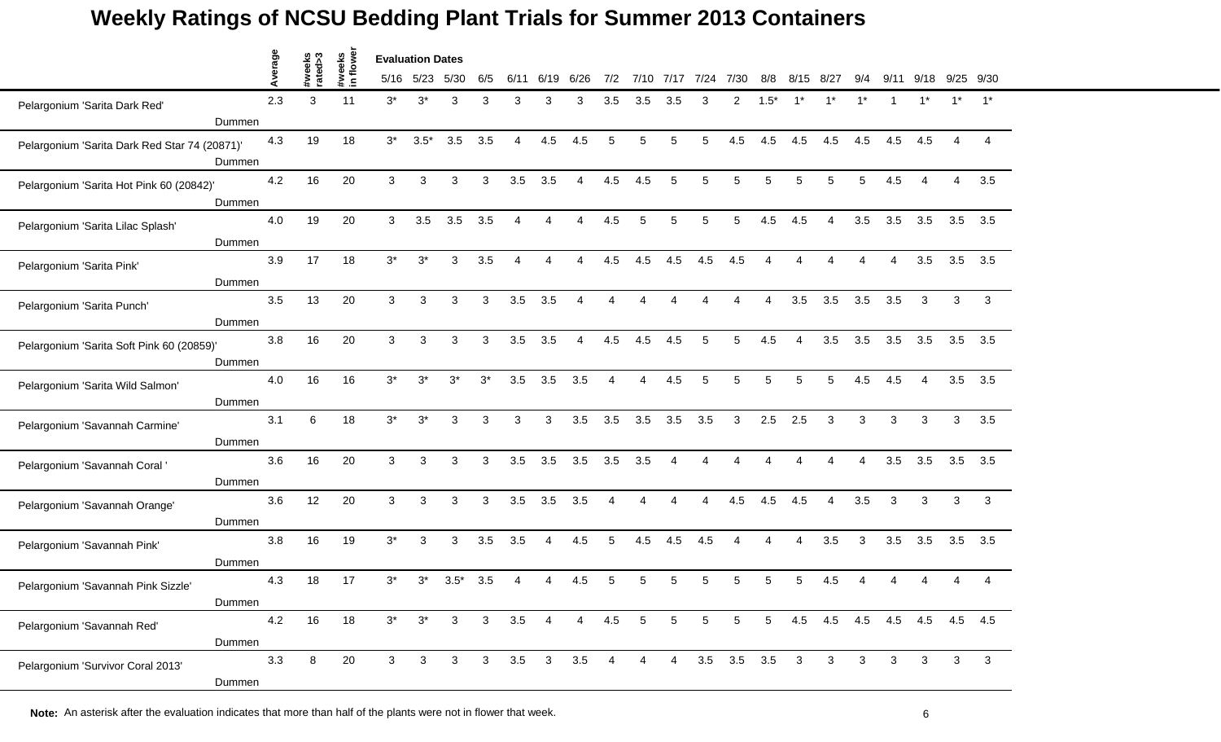|                                               |        | age  |                   |                    | <b>Evaluation Dates</b> |              |              |                |                |                         |                |                          |                 |                          |                 |                       |                          |                         |                             |          |              |              |                |                        |
|-----------------------------------------------|--------|------|-------------------|--------------------|-------------------------|--------------|--------------|----------------|----------------|-------------------------|----------------|--------------------------|-----------------|--------------------------|-----------------|-----------------------|--------------------------|-------------------------|-----------------------------|----------|--------------|--------------|----------------|------------------------|
|                                               |        | Aver | #weeks<br>rated>3 | #weeks<br>in flowe |                         | 5/16 5/23    | 5/30         | 6/5            | 6/11           | 6/19                    | 6/26           | 7/2                      | 7/10            | 7/17                     | 7/24            | 7/30                  | 8/8                      | 8/15                    | 8/27                        | 9/4      | 9/11         | 9/18         |                | 9/25 9/30              |
| Pelargonium 'Sarita Dark Red'                 |        | 2.3  | 3                 | 11                 | $3^*$                   | $3^*$        | 3            | 3              | 3              | 3                       | 3              | 3.5                      | 3.5             | 3.5                      | 3               | $\overline{2}$        | $1.5*$                   |                         |                             | $1^*$    |              | $1*$         | $1^*$          | $1^*$                  |
|                                               | Dummen |      |                   |                    |                         |              |              |                |                |                         |                |                          |                 |                          |                 |                       |                          |                         |                             |          |              |              |                |                        |
| Pelargonium 'Sarita Dark Red Star 74 (20871)' |        | 4.3  | 19                | 18                 | $3^*$                   | $3.5*$       | 3.5          | 3.5            | $\overline{A}$ | 4.5                     | 4.5            | 5                        | 5               | 5                        | 5               | 4.5                   | 4.5                      | 4.5                     | 4.5                         | 4.5      | 4.5          | 4.5          | $\overline{4}$ | $\boldsymbol{\Lambda}$ |
|                                               | Dummen |      |                   |                    |                         |              |              |                |                |                         |                |                          |                 |                          |                 |                       |                          |                         |                             |          |              |              |                |                        |
| Pelargonium 'Sarita Hot Pink 60 (20842)'      |        | 4.2  | 16                | 20                 | 3                       | 3            | 3            | 3              | 3.5            | 3.5                     | 4              | 4.5                      | 4.5             | 5                        | 5               | 5                     | 5                        | 5                       | 5                           | 5        | 4.5          |              | 4              | 3.5                    |
|                                               | Dummen |      |                   |                    |                         |              |              |                |                |                         |                |                          |                 |                          |                 |                       |                          |                         |                             |          |              |              |                |                        |
| Pelargonium 'Sarita Lilac Splash'             |        | 4.0  | 19                | 20                 | 3                       | 3.5          | 3.5          | 3.5            | $\Delta$       | 4                       | 4              | 4.5                      | 5               | 5                        | 5               | 5                     | 4.5                      | 4.5                     | 4                           | 3.5      | 3.5          | 3.5          | 3.5            | 3.5                    |
|                                               | Dummen |      |                   |                    |                         |              |              |                |                |                         |                |                          |                 |                          |                 |                       |                          |                         |                             |          |              |              |                |                        |
| Pelargonium 'Sarita Pink'                     |        | 3.9  | 17                | 18                 | $3^*$                   | $3^*$        | 3            | 3.5            |                |                         |                | 4.5                      | 4.5             | 4.5                      | 4.5             | 4.5                   |                          |                         |                             |          |              | 3.5          | 3.5            | 3.5                    |
|                                               | Dummen |      |                   |                    |                         |              |              |                |                |                         |                |                          |                 |                          |                 |                       |                          |                         |                             |          |              |              |                |                        |
| Pelargonium 'Sarita Punch'                    |        | 3.5  | 13                | 20                 | 3                       | 3            | 3            | 3              | 3.5            | 3.5                     | 4              | $\overline{4}$           | 4               | Δ                        | $\Delta$        | 4                     | $\boldsymbol{\Lambda}$   | 3.5                     | 3.5                         | 3.5      | 3.5          | 3            | 3              | $\mathbf{3}$           |
|                                               | Dummen |      |                   |                    |                         |              |              |                |                |                         |                |                          |                 |                          |                 |                       |                          |                         |                             |          |              |              |                |                        |
| Pelargonium 'Sarita Soft Pink 60 (20859)'     |        | 3.8  | 16                | 20                 | 3                       | 3            | 3            | 3              | 3.5            | 3.5                     | 4              | 4.5                      | 4.5             | 4.5                      | 5               | 5                     | 4.5                      | $\overline{\mathbf{4}}$ | 3.5                         | 3.5      | 3.5          | 3.5          | 3.5            | 3.5                    |
|                                               | Dummen |      |                   |                    |                         |              |              |                |                |                         |                |                          |                 |                          |                 |                       |                          |                         |                             |          |              |              |                |                        |
| Pelargonium 'Sarita Wild Salmon'              |        | 4.0  | 16                | 16                 | $3^*$                   | $3^{\ast}$   | $3^*$        | $3^*$          | 3.5            | 3.5                     | 3.5            | $\boldsymbol{\varDelta}$ | 4               | 4.5                      | 5               | 5                     | 5                        | 5                       | 5                           | 4.5      | 4.5          | 4            | 3.5            | 3.5                    |
|                                               | Dummen |      |                   |                    |                         |              |              |                |                |                         |                |                          |                 |                          |                 |                       |                          |                         |                             |          |              |              |                |                        |
| Pelargonium 'Savannah Carmine'                |        | 3.1  | 6                 | 18                 | $3^*$                   | $3^*$        | 3            | 3              | 3              | 3                       | 3.5            | 3.5                      | 3.5             | 3.5                      | 3.5             | 3                     | 2.5                      | 2.5                     | 3                           | 3        | 3            | 3            | 3              | 3.5                    |
|                                               | Dummen |      |                   |                    |                         |              |              |                |                |                         |                |                          |                 |                          |                 |                       |                          |                         |                             |          |              |              |                |                        |
| Pelargonium 'Savannah Coral '                 |        | 3.6  | 16                | 20                 | 3                       | 3            | 3            | 3              | 3.5            | 3.5                     | 3.5            | 3.5                      | 3.5             | $\overline{4}$           | $\overline{4}$  | Δ                     | $\boldsymbol{\varDelta}$ | Δ                       | $\Delta$                    | $\Delta$ | 3.5          | 3.5          | 3.5            | 3.5                    |
|                                               | Dummen |      |                   |                    |                         |              |              |                |                |                         |                |                          |                 |                          |                 |                       |                          |                         |                             |          |              |              |                |                        |
| Pelargonium 'Savannah Orange'                 |        | 3.6  | 12                | 20                 | 3                       | 3            | 3            | 3              | 3.5            | 3.5                     | 3.5            | $\boldsymbol{\Lambda}$   | 4               | $\boldsymbol{\varDelta}$ | 4               | 4.5                   | 4.5                      | 4.5                     | $\boldsymbol{\Lambda}$      | 3.5      | 3            | 3            | 3              | 3                      |
|                                               | Dummen |      |                   |                    |                         |              |              |                |                |                         |                |                          |                 |                          |                 |                       |                          |                         |                             |          |              |              |                |                        |
| Pelargonium 'Savannah Pink'                   |        | 3.8  | 16                | 19                 | $3^*$                   | 3            | 3            | 3.5            | 3.5            | 4                       | 4.5            | 5                        | 4.5             | 4.5                      | 4.5             |                       |                          | 4                       | 3.5                         | 3        | 3.5          | 3.5          | 3.5            | 3.5                    |
|                                               | Dummen |      |                   |                    |                         |              |              |                |                |                         |                |                          |                 |                          |                 |                       |                          |                         |                             |          |              |              |                |                        |
| Pelargonium 'Savannah Pink Sizzle'            |        | 4.3  | 18                | 17                 | $3^*$                   | $3^*$        | $3.5*$       | 3.5            |                |                         | 4.5            | 5                        |                 |                          | 5               |                       |                          | 5                       | 4.5                         |          |              |              |                |                        |
|                                               | Dummen |      |                   |                    |                         |              |              |                |                |                         |                |                          |                 |                          |                 |                       |                          |                         |                             |          |              |              |                |                        |
| Pelargonium 'Savannah Red'                    |        | 4.2  | 16                | 18                 | $3^*$                   | $3^*$        | $\mathbf{3}$ | 3 <sup>1</sup> | 3.5            | $\overline{4}$          | $\overline{4}$ | 4.5                      | $5\phantom{.0}$ | 5                        | $5\phantom{.0}$ | 5                     | 5 <sub>5</sub>           |                         | 4.5 4.5 4.5 4.5 4.5 4.5 4.5 |          |              |              |                |                        |
|                                               | Dummen |      |                   |                    |                         |              |              |                |                |                         |                |                          |                 |                          |                 |                       |                          |                         |                             |          |              |              |                |                        |
| Pelargonium 'Survivor Coral 2013'             |        | 3.3  | 8                 | 20                 | $\mathbf{3}$            | $\mathbf{3}$ | $\mathbf{3}$ | 3 <sup>1</sup> | 3.5            | $\overline{\textbf{3}}$ | 3.5            | $\overline{4}$           | $\overline{4}$  | $\overline{4}$           |                 | $3.5$ $3.5$ $3.5$ $3$ |                          |                         | $\mathbf{3}$                | 3        | $\mathbf{3}$ | $\mathbf{3}$ | $\mathbf{3}$   | 3                      |
|                                               | Dummen |      |                   |                    |                         |              |              |                |                |                         |                |                          |                 |                          |                 |                       |                          |                         |                             |          |              |              |                |                        |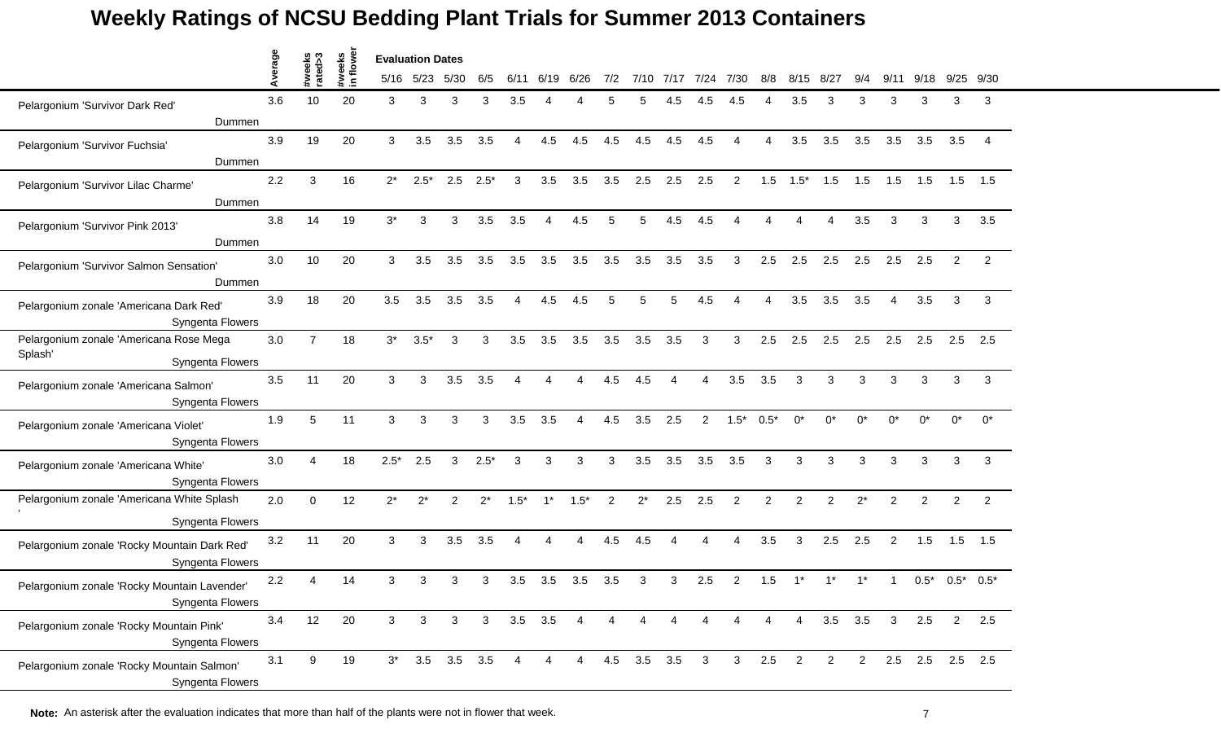|                                                                  | werage |                   |                    |        | <b>Evaluation Dates</b> |                   |              |                        |                |                |                |             |      |              |                |                |                |                |                |                |                 |              |                |
|------------------------------------------------------------------|--------|-------------------|--------------------|--------|-------------------------|-------------------|--------------|------------------------|----------------|----------------|----------------|-------------|------|--------------|----------------|----------------|----------------|----------------|----------------|----------------|-----------------|--------------|----------------|
|                                                                  |        | #weeks<br>rated>3 | #weeks<br>in flowe |        | 5/16 5/23               | 5/30              | 6/5          | 6/11                   | 6/19           | 6/26           | 7/2            | 7/10        | 7/17 | 7/24         | 7/30           | 8/8            | 8/15           | $8/2^-$        |                | 9/             | 9/18            | 9/25         | 9/30           |
| Pelargonium 'Survivor Dark Red'                                  | 3.6    | 10                | 20                 | 3      | 3                       | 3                 | 3            | 3.5                    | Δ              |                | 5              |             | 4.5  | 4.5          | 4.5            |                | 3.5            | 3              | 3              | 3              | 3               | 3            | 3              |
| Dummen                                                           |        |                   |                    |        |                         |                   |              |                        |                |                |                |             |      |              |                |                |                |                |                |                |                 |              |                |
| Pelargonium 'Survivor Fuchsia'                                   | 3.9    | 19                | 20                 | 3      | 3.5                     | 3.5               | 3.5          | 4                      | 4.5            | 4.5            | 4.5            | 4.5         | 4.5  | 4.5          | Δ              | Δ              | 3.5            | 3.5            | 3.5            | 3.5            | 3.5             | 3.5          | $\overline{4}$ |
| Dummen                                                           |        |                   |                    |        |                         |                   |              |                        |                |                |                |             |      |              |                |                |                |                |                |                |                 |              |                |
| Pelargonium 'Survivor Lilac Charme'<br>Dummen                    | 2.2    | 3                 | 16                 | $2^*$  | $2.5^*$                 | 2.5               | $2.5*$       | 3                      | 3.5            | 3.5            | 3.5            | 2.5         | 2.5  | 2.5          | $\overline{2}$ | 1.5            | $1.5*$         | 1.5            | 1.5            | 1.5            | 1.5             | 1.5          | 1.5            |
| Pelargonium 'Survivor Pink 2013'<br>Dummen                       | 3.8    | 14                | 19                 | $3^*$  | 3                       | 3                 | 3.5          | 3.5                    | 4              | 4.5            | 5              | 5           | 4.5  | 4.5          |                |                | Δ              |                | 3.5            | 3              | 3               | 3            | 3.5            |
| Pelargonium 'Survivor Salmon Sensation'                          | 3.0    | 10                | 20                 | 3      | 3.5                     | 3.5               | 3.5          | 3.5                    | 3.5            | 3.5            | 3.5            | 3.5         | 3.5  | 3.5          | 3              | 2.5            | 2.5            | 2.5            | 2.5            | 2.5            | 2.5             | 2            | $\overline{2}$ |
| Dummen                                                           |        |                   |                    |        |                         |                   |              |                        |                |                |                |             |      |              |                |                |                |                |                |                |                 |              |                |
| Pelargonium zonale 'Americana Dark Red'<br>Syngenta Flowers      | 3.9    | 18                | 20                 | 3.5    | 3.5                     | 3.5               | 3.5          | $\boldsymbol{\Lambda}$ | 4.5            | 4.5            | 5              | 5           | 5    | 4.5          | Δ              | 4              | 3.5            | 3.5            | 3.5            | $\overline{4}$ | 3.5             | 3            | 3              |
| Pelargonium zonale 'Americana Rose Mega<br>Splash'               | 3.0    | $\overline{7}$    | 18                 | $3^*$  | $3.5*$                  | 3                 | 3            | 3.5                    | 3.5            | 3.5            | 3.5            | 3.5         | 3.5  | 3            | 3              | 2.5            | 2.5            | 2.5            | 2.5            | 2.5            | 2.5             | 2.5          | 2.5            |
| Syngenta Flowers                                                 |        |                   |                    |        |                         |                   |              |                        |                |                |                |             |      |              |                |                |                |                |                |                |                 |              |                |
| Pelargonium zonale 'Americana Salmon'<br>Syngenta Flowers        | 3.5    | 11                | 20                 | 3      | 3                       | 3.5               | 3.5          |                        | Δ              | Δ              | 4.5            | 4.5         |      | 4            | 3.5            | 3.5            | 3              | 3              | 3              | 3              | 3               | 3            | 3              |
| Pelargonium zonale 'Americana Violet'<br>Syngenta Flowers        | 1.9    | 5                 | 11                 | 3      | 3                       | 3                 | 3            | 3.5                    | 3.5            | 4              | 4.5            | 3.5         | 2.5  | 2            | $1.5*$         | $0.5*$         | $0^*$          | $^{\circ}$     | ሰ*             | n*             | $0^*$           | $0^*$        | $0^*$          |
| Pelargonium zonale 'Americana White'<br>Syngenta Flowers         | 3.0    | 4                 | 18                 | $2.5*$ | 2.5                     | 3                 | $2.5*$       | 3                      | 3              | 3              | $\mathbf{3}$   | 3.5         | 3.5  | 3.5          | 3.5            | 3              | 3              | 3              | 3              | 3              | 3               | $\mathbf{3}$ | 3              |
| Pelargonium zonale 'Americana White Splash                       | 2.0    | $\Omega$          | 12                 |        |                         |                   |              |                        | $1^*$          | $1.5*$         |                |             |      | 2.5          |                |                | 2              |                | $2^*$          |                |                 | 2            |                |
| Syngenta Flowers                                                 |        |                   |                    | $2^*$  | $2^*$                   | 2                 | $2^*$        | $1.5*$                 |                |                | $\overline{2}$ | $2^*$       | 2.5  |              | $\overline{c}$ | $\overline{2}$ |                | $\overline{2}$ |                | 2              | 2               |              | 2              |
| Pelargonium zonale 'Rocky Mountain Dark Red'<br>Syngenta Flowers | 3.2    | 11                | 20                 | 3      | 3                       | 3.5               | 3.5          |                        | Δ              | Δ              | 4.5            | 4.5         |      |              | 4              | 3.5            | 3              | 2.5            | 2.5            | $\overline{c}$ | 1.5             | 1.5          | 1.5            |
| Pelargonium zonale 'Rocky Mountain Lavender'<br>Syngenta Flowers | 2.2    |                   | 14                 | 3      | 3                       | 3                 | 3            | 3.5                    | 3.5            | 3.5            | 3.5            | 3           |      | 2.5          | 2              | 1.5            |                |                |                |                | $0.5*$          |              | $0.5^*$ 0.5*   |
| Pelargonium zonale 'Rocky Mountain Pink'<br>Syngenta Flowers     | 3.4    | 12                | 20                 | 3      | 3                       | 3                 | $\mathbf{3}$ |                        | $3.5\quad 3.5$ | $\overline{4}$ | 4              | 4           | 4    | 4            | 4              | 4              | $\overline{4}$ | 3.5            | 3.5            | 3              | 2.5             | $2^{\circ}$  | 2.5            |
| Pelargonium zonale 'Rocky Mountain Salmon'<br>Syngenta Flowers   | 3.1    | 9                 | 19                 | $3^*$  |                         | $3.5$ $3.5$ $3.5$ |              | 4                      | 4              | $\overline{4}$ |                | 4.5 3.5 3.5 |      | $\mathbf{3}$ | 3 <sup>1</sup> | 2.5            | $\overline{2}$ | $\overline{2}$ | $\overline{2}$ |                | 2.5 2.5 2.5 2.5 |              |                |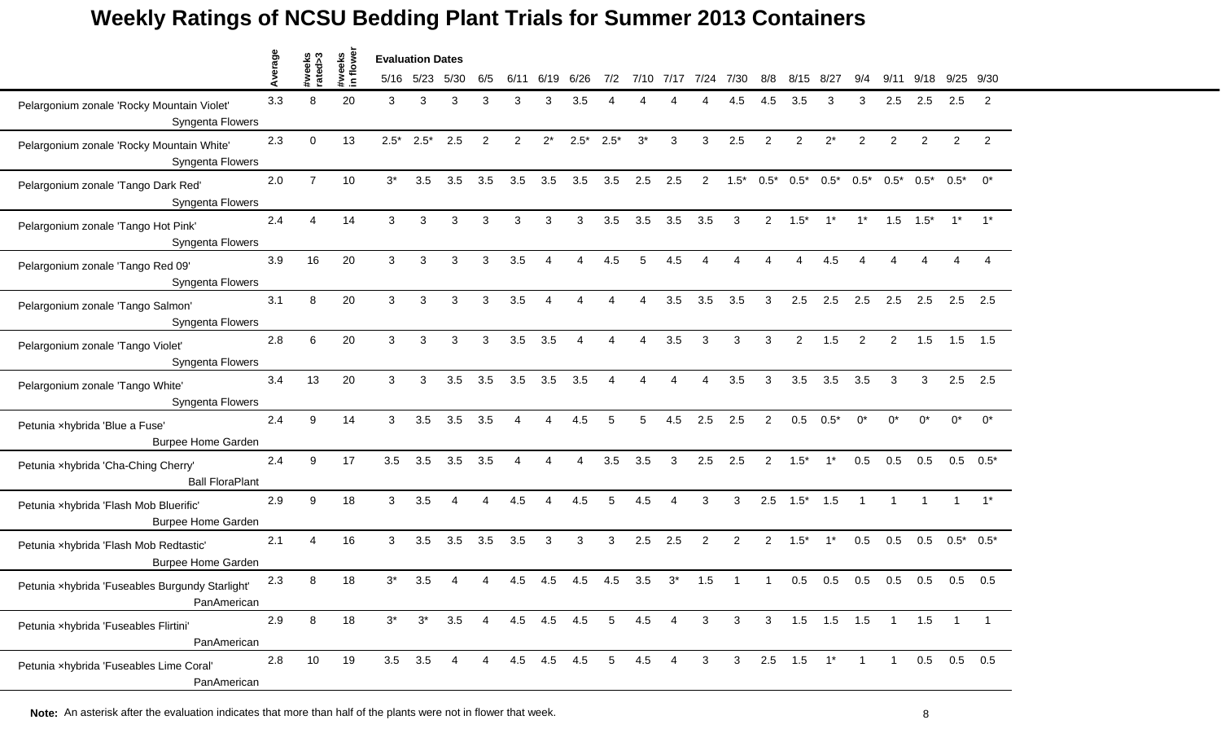|                                                                     | Average |                   | #weeks<br>in flower | <b>Evaluation Dates</b> |                |                |                |                        |                         |                |                       |                |                |                |                |                |                |                          |                |                |               |                               |                |
|---------------------------------------------------------------------|---------|-------------------|---------------------|-------------------------|----------------|----------------|----------------|------------------------|-------------------------|----------------|-----------------------|----------------|----------------|----------------|----------------|----------------|----------------|--------------------------|----------------|----------------|---------------|-------------------------------|----------------|
|                                                                     |         | #weeks<br>rated>3 |                     |                         | 5/16 5/23      | 5/30           | 6/5            | 6/11                   | 6/19                    | 6/26           | 7/2                   |                | 7/10 7/17      | 7/24           | 7/30           | 8/8            | 8/15           | 8/27                     | 9/4            | 9/11           | 9/18          | 9/25                          | 9/30           |
| Pelargonium zonale 'Rocky Mountain Violet'<br>Syngenta Flowers      | 3.3     | 8                 | 20                  | 3                       | 3              | 3              | 3              | 3                      | 3                       | 3.5            |                       |                |                |                | 4.5            | 4.5            | 3.5            | 3                        | 3              | 2.5            | 2.5           | 2.5                           | 2              |
| Pelargonium zonale 'Rocky Mountain White'<br>Syngenta Flowers       | 2.3     | $\Omega$          | 13                  | $2.5*$                  | $2.5*$         | 2.5            | $\overline{2}$ | 2                      | $2^*$                   | $2.5*$         | $2.5*$                | $3^*$          | 3              | 3              | 2.5            | 2              | $\overline{2}$ | $2^*$                    | $\overline{2}$ | 2              | 2             | $\overline{2}$                | $\overline{2}$ |
| Pelargonium zonale 'Tango Dark Red'<br>Syngenta Flowers             | 2.0     | $\overline{7}$    | 10                  | $3^*$                   | 3.5            | 3.5            | 3.5            | 3.5                    | 3.5                     | 3.5            | 3.5                   | 2.5            | 2.5            | $\overline{2}$ | $1.5*$         | $0.5*$         | $0.5^*$        | $0.5^*$                  | $0.5*$         |                |               | $0.5^*$ $0.5^*$ $0.5^*$ $0^*$ |                |
| Pelargonium zonale 'Tango Hot Pink'<br>Syngenta Flowers             | 2.4     | Δ                 | 14                  | 3                       | 3              | 3              | 3              | 3                      | 3                       | 3              | 3.5                   | 3.5            | 3.5            | 3.5            | 3              | $\mathbf{2}$   | $1.5*$         | $1^*$                    | $1^*$          |                | $1.5$ $1.5^*$ | $1^*$                         | $1^*$          |
| Pelargonium zonale 'Tango Red 09'<br>Syngenta Flowers               | 3.9     | 16                | 20                  | 3                       | 3              | 3              | 3              | 3.5                    | $\Delta$                | Δ              | 4.5                   | 5              | 4.5            |                |                |                |                | 4.5                      |                |                |               |                               |                |
| Pelargonium zonale 'Tango Salmon'<br>Syngenta Flowers               | 3.1     | 8                 | 20                  | 3                       | 3              | 3              | 3              | 3.5                    | $\overline{\mathbf{4}}$ | 4              | $\Delta$              | $\Delta$       | 3.5            | 3.5            | 3.5            | 3              | 2.5            | 2.5                      | 2.5            | 2.5            | 2.5           | 2.5                           | 2.5            |
| Pelargonium zonale 'Tango Violet'<br>Syngenta Flowers               | 2.8     | 6                 | 20                  | 3                       | 3              | 3              | 3              | 3.5                    | 3.5                     | $\overline{4}$ | 4                     | $\overline{4}$ | 3.5            | 3              | 3              | 3              | $\overline{2}$ | 1.5                      | $\overline{2}$ | $\overline{2}$ | 1.5           | 1.5                           | 1.5            |
| Pelargonium zonale 'Tango White'<br>Syngenta Flowers                | 3.4     | 13                | 20                  | 3                       | 3              | 3.5            | 3.5            | 3.5                    | 3.5                     | 3.5            | $\boldsymbol{\Delta}$ | Δ              | 4              | $\overline{4}$ | 3.5            | 3              | 3.5            | 3.5                      | 3.5            | 3              | 3             | 2.5                           | 2.5            |
| Petunia xhybrida 'Blue a Fuse'<br><b>Burpee Home Garden</b>         | 2.4     | 9                 | 14                  | 3                       | 3.5            | 3.5            | 3.5            | Δ                      |                         | 4.5            | 5                     | 5              | 4.5            | 2.5            | 2.5            | 2              | 0.5            | $0.5*$                   | $0^*$          | $^{\circ}$     | $0^*$         | $0^*$                         | $0^*$          |
| Petunia xhybrida 'Cha-Ching Cherry'<br><b>Ball FloraPlant</b>       | 2.4     | 9                 | 17                  | 3.5                     | 3.5            | 3.5            | 3.5            | $\boldsymbol{\Lambda}$ | $\overline{\mathbf{4}}$ | $\overline{4}$ | 3.5                   | 3.5            | 3              | 2.5            | 2.5            | $\overline{2}$ | $1.5*$         | $1^*$                    | 0.5            | 0.5            | 0.5           | 0.5                           | $0.5*$         |
| Petunia xhybrida 'Flash Mob Bluerific'<br><b>Burpee Home Garden</b> | 2.9     | 9                 | 18                  | 3                       | 3.5            | $\overline{4}$ | 4              | 4.5                    | $\overline{4}$          | 4.5            | 5                     | 4.5            | 4              | 3              | 3              | 2.5            | $1.5^*$ 1.5    |                          | $\overline{1}$ | $\mathbf{1}$   | $\mathbf{1}$  | $\overline{1}$                | $1^*$          |
| Petunia xhybrida 'Flash Mob Redtastic'<br><b>Burpee Home Garden</b> | 2.1     | $\Delta$          | 16                  | 3                       | 3.5            | 3.5            | 3.5            | 3.5                    | 3                       | 3              | 3                     | 2.5            | 2.5            | $\overline{2}$ | 2              | $\overline{2}$ | $1.5*$         | $1^*$                    | 0.5            | 0.5            | 0.5           |                               | $0.5^*$ 0.5*   |
| Petunia xhybrida 'Fuseables Burgundy Starlight'<br>PanAmerican      | 2.3     | 8                 | 18                  | $3^*$                   | 3.5            |                | Δ              | 4.5                    | 4.5                     | 4.5            | 4.5                   | 3.5            | $3^*$          | 1.5            |                |                | 0.5            | 0.5                      | 0.5            | 0.5            | 0.5           | 0.5                           | 0.5            |
| Petunia xhybrida 'Fuseables Flirtini'<br>PanAmerican                | 2.9     | 8                 | 18                  | $3^*$                   | $3^*$          | 3.5            | $\overline{4}$ |                        | 4.5 4.5 4.5             |                | $5\overline{)}$       | 4.5            | $\overline{4}$ | $\mathbf{3}$   | 3 <sup>1</sup> |                |                | 3  1.5  1.5  1.5  1  1.5 |                |                |               | $\overline{1}$                |                |
| Petunia xhybrida 'Fuseables Lime Coral'<br>PanAmerican              | 2.8     | 10                | 19                  |                         | $3.5\quad 3.5$ | -4             | 4              |                        | 4.5 4.5 4.5             |                | $5 -$                 | $4.5$ 4        |                | $\mathbf{3}$   | 3 <sup>7</sup> |                | $2.5$ 1.5      | $1^*$                    | $\overline{1}$ | $\overline{1}$ |               | $0.5$ 0.5 0.5                 |                |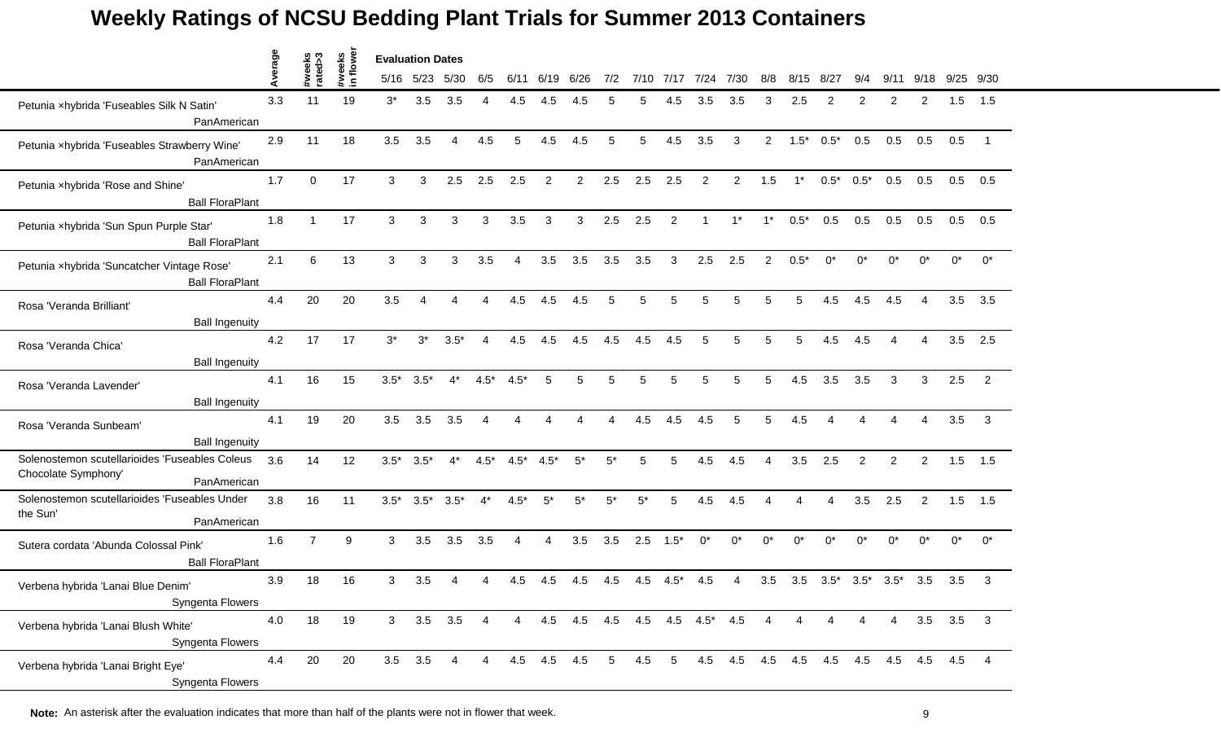|                                                                                      | age |                   |                    | <b>Evaluation Dates</b> |                 |          |        |                        |             |                                 |                 |       |                |                |                     |                |                        |        |                         |                |                        |       |                         |
|--------------------------------------------------------------------------------------|-----|-------------------|--------------------|-------------------------|-----------------|----------|--------|------------------------|-------------|---------------------------------|-----------------|-------|----------------|----------------|---------------------|----------------|------------------------|--------|-------------------------|----------------|------------------------|-------|-------------------------|
|                                                                                      | ⋖   | #weeks<br>rated>3 | #weeks<br>in flowe |                         | 5/16 5/23       | 5/30     | 6/5    | 6/11                   | 6/19        | 6/26                            | 7/2             |       | 7/10 7/17      | 7/24           | 7/30                | 8/8            | 8/15                   | 8/27   | 9/4                     | 9/11           | 9/18                   | 9/25  | 9/30                    |
| Petunia xhybrida 'Fuseables Silk N Satin'<br>PanAmerican                             | 3.3 | 11                | 19                 | $3^*$                   | 3.5             | 3.5      |        | 4.5                    | 4.5         | 4.5                             | 5               | 5     | 4.5            | 3.5            | 3.5                 | з              | 2.5                    | 2      | 2                       | 2              | 2                      | 1.5   | 1.5                     |
| Petunia xhybrida 'Fuseables Strawberry Wine'<br>PanAmerican                          | 2.9 | 11                | 18                 | 3.5                     | 3.5             | 4        | 4.5    | 5                      | 4.5         | 4.5                             | 5               | 5     | 4.5            | 3.5            | 3                   | 2              | $1.5*$                 | $0.5*$ | 0.5                     | 0.5            | 0.5                    | 0.5   | - 1                     |
| Petunia xhybrida 'Rose and Shine'<br><b>Ball FloraPlant</b>                          | 1.7 | $\Omega$          | 17                 | 3                       | 3               | 2.5      | 2.5    | 2.5                    | 2           | $\overline{2}$                  | 2.5             | 2.5   | 2.5            | 2              | $\overline{2}$      | 1.5            | $1^*$                  | $0.5*$ | $0.5*$                  | 0.5            | 0.5                    |       | $0.5$ 0.5               |
| Petunia xhybrida 'Sun Spun Purple Star'<br><b>Ball FloraPlant</b>                    | 1.8 | $\overline{1}$    | 17                 | 3                       | 3               | 3        | 3      | 3.5                    | 3           | 3                               | 2.5             | 2.5   | $\overline{2}$ | $\overline{1}$ | $1^*$               | $1^*$          | $0.5*$                 | 0.5    | 0.5                     | 0.5            | 0.5                    | 0.5   | 0.5                     |
| Petunia xhybrida 'Suncatcher Vintage Rose'<br><b>Ball FloraPlant</b>                 | 2.1 | 6                 | 13                 | 3                       | 3               | 3        | 3.5    |                        | 3.5         | 3.5                             | 3.5             | 3.5   | 3              | 2.5            | 2.5                 | 2              | $0.5*$                 | n*     |                         |                | $^{\circ}$             | $0^*$ | $0^*$                   |
| Rosa 'Veranda Brilliant'<br><b>Ball Ingenuity</b>                                    | 4.4 | 20                | 20                 | 3.5                     | Δ               | $\Delta$ | 4      | 4.5                    | 4.5         | 4.5                             | 5               | 5     | 5              | 5              | 5                   | 5              | 5                      | 4.5    | 4.5                     | 4.5            | $\boldsymbol{\Lambda}$ | 3.5   | 3.5                     |
| Rosa 'Veranda Chica'<br><b>Ball Ingenuity</b>                                        | 4.2 | 17                | 17                 | $3^*$                   | $3^*$           | $3.5*$   | 4      | 4.5                    | 4.5         | 4.5                             | 4.5             | 4.5   | 4.5            | 5              | 5                   | 5              | 5                      | 4.5    | 4.5                     | $\overline{4}$ | 4                      |       | $3.5$ 2.5               |
| Rosa 'Veranda Lavender'<br><b>Ball Ingenuity</b>                                     | 4.1 | 16                | 15                 | $3.5*$                  | $3.5*$          | $4^*$    | $4.5*$ | $4.5*$                 | 5           | 5                               | 5               | 5     | 5              | 5              | 5                   | 5              | 4.5                    | 3.5    | 3.5                     | 3              | 3                      | 2.5   | $\overline{2}$          |
| Rosa 'Veranda Sunbeam'<br><b>Ball Ingenuity</b>                                      | 4.1 | 19                | 20                 | 3.5                     | 3.5             | 3.5      |        |                        |             |                                 |                 | 4.5   | 4.5            | 4.5            | 5                   | 5              | 4.5                    |        |                         |                |                        | 3.5   | 3                       |
| Solenostemon scutellarioides 'Fuseables Coleus<br>Chocolate Symphony'<br>PanAmerican | 3.6 | 14                | 12                 | $3.5*$                  | $3.5*$          | $4^*$    | $4.5*$ | $4.5*$                 | $4.5*$      | $5^*$                           | $5^*$           | 5     | 5              | 4.5            | 4.5                 | 4              | 3.5                    | 2.5    | 2                       | $\overline{2}$ | $\overline{2}$         | 1.5   | 1.5                     |
| Solenostemon scutellarioides 'Fuseables Under<br>the Sun'<br>PanAmerican             | 3.8 | 16                | 11                 | $3.5*$                  | $3.5^*$ $3.5^*$ |          | $4^*$  | $4.5*$                 | $5^*$       | $5^*$                           | $5^*$           | $5^*$ | 5              | 4.5            | 4.5                 | Δ              | $\boldsymbol{\Lambda}$ | 4      | 3.5                     | 2.5            | $\overline{2}$         | 1.5   | 1.5                     |
| Sutera cordata 'Abunda Colossal Pink'<br><b>Ball FloraPlant</b>                      | 1.6 | $\overline{7}$    | 9                  | 3                       | 3.5             | 3.5      | 3.5    | $\boldsymbol{\Lambda}$ | 4           | 3.5                             | 3.5             | 2.5   | $1.5*$         | $0^*$          | $0^*$               | $0^*$          | $0^*$                  | $0^*$  | 0*                      | $0^*$          | $0^*$                  | $0^*$ | $0^*$                   |
| Verbena hybrida 'Lanai Blue Denim'<br>Syngenta Flowers                               | 3.9 | 18                | 16                 | 3                       | 3.5             | 4        |        | 4.5                    | 4.5         | 4.5                             | 4.5             | 4.5   | $4.5*$         | 4.5            | 4                   | 3.5            | 3.5                    |        | $3.5^*$ $3.5^*$ $3.5^*$ |                | 3.5                    | 3.5   | 3                       |
| Verbena hybrida 'Lanai Blush White'<br>Syngenta Flowers                              | 4.0 | 18                | 19                 | 3 <sup>1</sup>          | 3.5             | 3.5      | 4      | $\overline{4}$         |             | 4.5 4.5 4.5 4.5 4.5 4.5 4.5 4.5 |                 |       |                |                |                     | $\overline{4}$ | 4                      | 4      | 4                       | 4              | 3.5                    | 3.5   | $\overline{\mathbf{3}}$ |
| Verbena hybrida 'Lanai Bright Eye'<br>Syngenta Flowers                               | 4.4 | $20\,$            | 20                 | 3.5                     | 3.5             | 4        |        |                        | 4.5 4.5 4.5 |                                 | $5\overline{)}$ | 4.5   | - 5            |                | 4.5 4.5 4.5 4.5 4.5 |                |                        |        |                         | 4.5 4.5 4.5    |                        | 4.5   | 4                       |